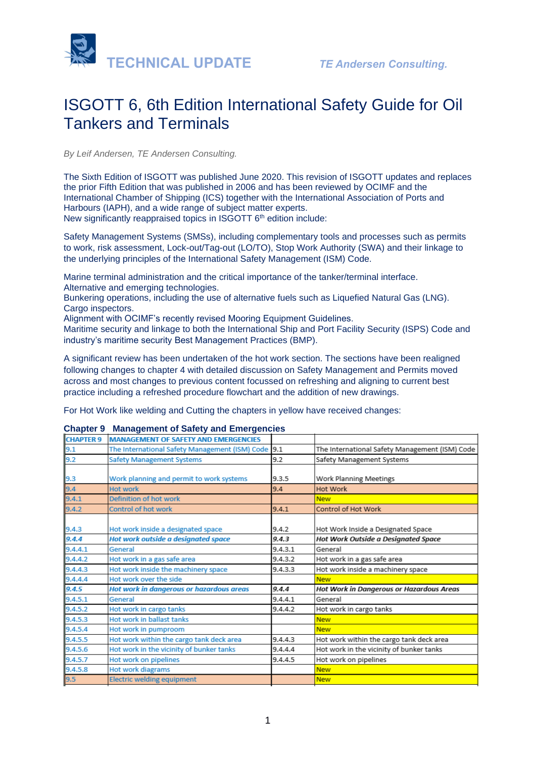

# ISGOTT 6, 6th Edition International Safety Guide for Oil Tankers and Terminals

*By Leif Andersen, TE Andersen Consulting.* 

The Sixth Edition of ISGOTT was published June 2020. This revision of ISGOTT updates and replaces the prior Fifth Edition that was published in 2006 and has been reviewed by OCIMF and the International Chamber of Shipping (ICS) together with the International Association of Ports and Harbours (IAPH), and a wide range of subject matter experts.

New significantly reappraised topics in ISGOTT 6<sup>th</sup> edition include:

Safety Management Systems (SMSs), including complementary tools and processes such as permits to work, risk assessment, Lock-out/Tag-out (LO/TO), Stop Work Authority (SWA) and their linkage to the underlying principles of the International Safety Management (ISM) Code.

Marine terminal administration and the critical importance of the tanker/terminal interface. Alternative and emerging technologies.

Bunkering operations, including the use of alternative fuels such as Liquefied Natural Gas (LNG). Cargo inspectors.

Alignment with OCIMF's recently revised Mooring Equipment Guidelines.

Maritime security and linkage to both the International Ship and Port Facility Security (ISPS) Code and industry's maritime security Best Management Practices (BMP).

A significant review has been undertaken of the hot work section. The sections have been realigned following changes to chapter 4 with detailed discussion on Safety Management and Permits moved across and most changes to previous content focussed on refreshing and aligning to current best practice including a refreshed procedure flowchart and the addition of new drawings.

For Hot Work like welding and Cutting the chapters in yellow have received changes:

### **CHAPTER 9 MANAGEMENT OF SAFETY AND EMERGENCIES**  $9.1$ The International Safety Management (ISM) Code 9.1 The International Safety Management (ISM) Code  $9.2$ **Safety Management Systems**  $9.2$ Safety Management Systems  $9.3.5$ Work Planning Meetings la 3 Work planning and permit to work systems 9.4 **Hot work**  $9.4$ Hot Work  $9.4.1$ Definition of hot work **New**  $9.4.2$ Control of hot work  $9.4.1$ **Control of Hot Work**  $9.4.2$  $9.4.3$ Hot work inside a designated space Hot Work Inside a Designated Space  $9.4.4$ Hot work outside a designated space  $9.4.3$ **Hot Work Outside a Designated Space** 9.4.4.1 General  $9.4.3.1$ General Hot work in a gas safe area 9.4.4.2 Hot work in a gas safe area  $9.4.3.2$ Hot work inside a machinery space 9.4.4.3 Hot work inside the machinery space  $9.4.3.3$ 9.4.4.4 Hot work over the side **New**  $9.4.5$  $9.4.4$ **Hot work in dangerous or hazardous areas Hot Work in Dangerous or Hazardous Areas**  $9.4.5.1$ General  $9.4.4.1$ General  $9.4.5.2$  $9.4.4.2$ Hot work in cargo tanks Hot work in cargo tanks  $9.4.5.3$ Hot work in ballast tanks **New**  $9.4.5.4$ Hot work in pumproom **New** 9.4.5.5 Hot work within the cargo tank deck area 9.4.4.3 Hot work within the cargo tank deck area  $9.4.5.6$ Hot work in the vicinity of bunker tanks 9.4.4.4 Hot work in the vicinity of bunker tanks  $9.4.5.7$ Hot work on pipelines 9.4.4.5 Hot work on pipelines  $9.4.5.8$ **Hot work diagrams New Electric welding equipment** 19.5 **New**

## **Chapter 9 Management of Safety and Emergencies**